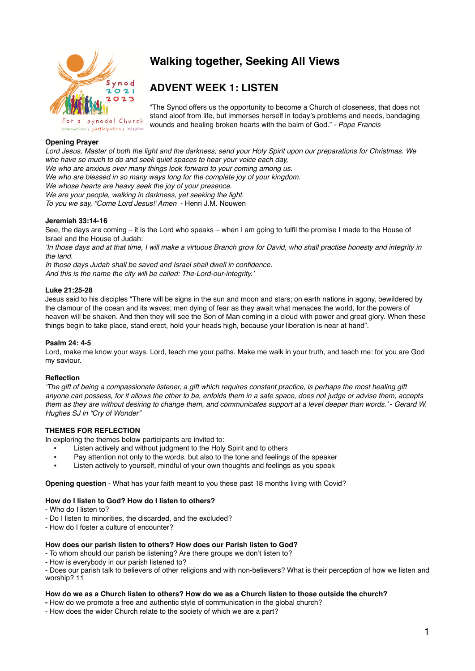

# **Walking together, Seeking All Views**

# **ADVENT WEEK 1: LISTEN**

"The Synod offers us the opportunity to become a Church of closeness, that does not stand aloof from life, but immerses herself in today's problems and needs, bandaging wounds and healing broken hearts with the balm of God." - *Pope Francis* 

# **Opening Prayer**

*Lord Jesus, Master of both the light and the darkness, send your Holy Spirit upon our preparations for Christmas. We who have so much to do and seek quiet spaces to hear your voice each day, We who are anxious over many things look forward to your coming among us. We who are blessed in so many ways long for the complete joy of your kingdom. We whose hearts are heavy seek the joy of your presence. We are your people, walking in darkness, yet seeking the light. To you we say, "Come Lord Jesus!' Amen* - Henri J.M. Nouwen

### **Jeremiah 33:14-16**

See, the days are coming – it is the Lord who speaks – when I am going to fulfil the promise I made to the House of Israel and the House of Judah:

*'In those days and at that time, I will make a virtuous Branch grow for David, who shall practise honesty and integrity in the land.*

*In those days Judah shall be saved and Israel shall dwell in confidence. And this is the name the city will be called: The-Lord-our-integrity.'*

### **Luke 21:25-28**

Jesus said to his disciples "There will be signs in the sun and moon and stars; on earth nations in agony, bewildered by the clamour of the ocean and its waves; men dying of fear as they await what menaces the world, for the powers of heaven will be shaken. And then they will see the Son of Man coming in a cloud with power and great glory. When these things begin to take place, stand erect, hold your heads high, because your liberation is near at hand".

#### **Psalm 24: 4-5**

Lord, make me know your ways. Lord, teach me your paths. Make me walk in your truth, and teach me: for you are God my saviour.

#### **Reflection**

*'The gift of being a compassionate listener, a gift which requires constant practice, is perhaps the most healing gift anyone can possess, for it allows the other to be, enfolds them in a safe space, does not judge or advise them, accepts them as they are without desiring to change them, and communicates support at a level deeper than words.'* - *Gerard W. Hughes SJ in "Cry of Wonder"*

# **THEMES FOR REFLECTION**

In exploring the themes below participants are invited to:

- Listen actively and without judgment to the Holy Spirit and to others
- Pay attention not only to the words, but also to the tone and feelings of the speaker
- Listen actively to yourself, mindful of your own thoughts and feelings as you speak

**Opening question** - What has your faith meant to you these past 18 months living with Covid?

#### **How do I listen to God? How do I listen to others?**

- Who do I listen to?
- Do I listen to minorities, the discarded, and the excluded?
- How do I foster a culture of encounter?

#### **How does our parish listen to others? How does our Parish listen to God?**

- To whom should our parish be listening? Are there groups we don't listen to?

- How is everybody in our parish listened to?

- Does our parish talk to believers of other religions and with non-believers? What is their perception of how we listen and worship? 11

#### **How do we as a Church listen to others? How do we as a Church listen to those outside the church?**

**-** How do we promote a free and authentic style of communication in the global church?

- How does the wider Church relate to the society of which we are a part?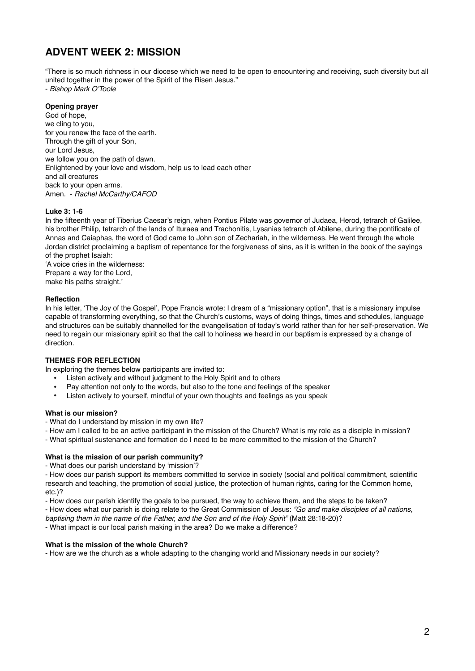# **ADVENT WEEK 2: MISSION**

"There is so much richness in our diocese which we need to be open to encountering and receiving, such diversity but all united together in the power of the Spirit of the Risen Jesus."

- *Bishop Mark O'Toole* 

## **Opening prayer**

God of hope, we cling to you, for you renew the face of the earth. Through the gift of your Son, our Lord Jesus, we follow you on the path of dawn. Enlightened by your love and wisdom, help us to lead each other and all creatures back to your open arms. Amen. - *Rachel McCarthy/CAFOD* 

### **Luke 3: 1-6**

In the fifteenth year of Tiberius Caesar's reign, when Pontius Pilate was governor of Judaea, Herod, tetrarch of Galilee, his brother Philip, tetrarch of the lands of Ituraea and Trachonitis, Lysanias tetrarch of Abilene, during the pontificate of Annas and Caiaphas, the word of God came to John son of Zechariah, in the wilderness. He went through the whole Jordan district proclaiming a baptism of repentance for the forgiveness of sins, as it is written in the book of the sayings of the prophet Isaiah:

'A voice cries in the wilderness: Prepare a way for the Lord, make his paths straight.'

### **Reflection**

In his letter, 'The Joy of the Gospel', Pope Francis wrote: I dream of a "missionary option", that is a missionary impulse capable of transforming everything, so that the Church's customs, ways of doing things, times and schedules, language and structures can be suitably channelled for the evangelisation of today's world rather than for her self-preservation. We need to regain our missionary spirit so that the call to holiness we heard in our baptism is expressed by a change of direction.

## **THEMES FOR REFLECTION**

In exploring the themes below participants are invited to:

- Listen actively and without judgment to the Holy Spirit and to others
- Pay attention not only to the words, but also to the tone and feelings of the speaker
- Listen actively to yourself, mindful of your own thoughts and feelings as you speak

#### **What is our mission?**

- What do I understand by mission in my own life?
- How am I called to be an active participant in the mission of the Church? What is my role as a disciple in mission?
- What spiritual sustenance and formation do I need to be more committed to the mission of the Church?

#### **What is the mission of our parish community?**

- What does our parish understand by 'mission'?

- How does our parish support its members committed to service in society (social and political commitment, scientific research and teaching, the promotion of social justice, the protection of human rights, caring for the Common home, etc.)?

- How does our parish identify the goals to be pursued, the way to achieve them, and the steps to be taken?

- How does what our parish is doing relate to the Great Commission of Jesus: *"Go and make disciples of all nations,* 

*baptising them in the name of the Father, and the Son and of the Holy Spirit"* (Matt 28:18-20)?

- What impact is our local parish making in the area? Do we make a difference?

## **What is the mission of the whole Church?**

- How are we the church as a whole adapting to the changing world and Missionary needs in our society?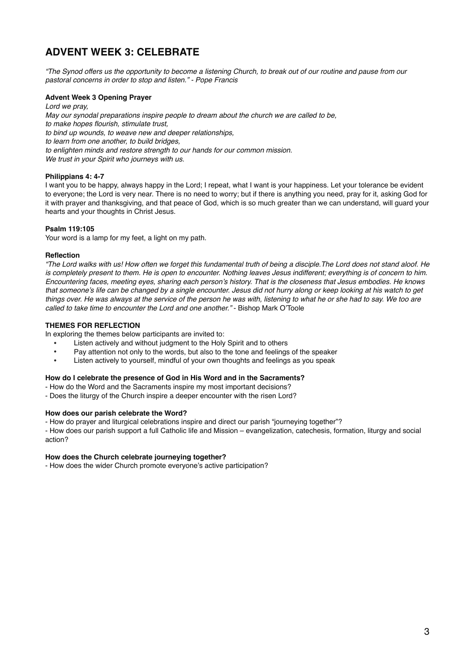# **ADVENT WEEK 3: CELEBRATE**

*"The Synod offers us the opportunity to become a listening Church, to break out of our routine and pause from our pastoral concerns in order to stop and listen." - Pope Francis*

# **Advent Week 3 Opening Prayer**

*Lord we pray, May our synodal preparations inspire people to dream about the church we are called to be, to make hopes flourish, stimulate trust, to bind up wounds, to weave new and deeper relationships, to learn from one another, to build bridges, to enlighten minds and restore strength to our hands for our common mission. We trust in your Spirit who journeys with us.*

# **Philippians 4: 4-7**

I want you to be happy, always happy in the Lord; I repeat, what I want is your happiness. Let your tolerance be evident to everyone; the Lord is very near. There is no need to worry; but if there is anything you need, pray for it, asking God for it with prayer and thanksgiving, and that peace of God, which is so much greater than we can understand, will guard your hearts and your thoughts in Christ Jesus.

# **Psalm 119:105**

Your word is a lamp for my feet, a light on my path.

## **Reflection**

*"The Lord walks with us! How often we forget this fundamental truth of being a disciple.The Lord does not stand aloof. He is completely present to them. He is open to encounter. Nothing leaves Jesus indifferent; everything is of concern to him. Encountering faces, meeting eyes, sharing each person's history. That is the closeness that Jesus embodies. He knows that someone's life can be changed by a single encounter. Jesus did not hurry along or keep looking at his watch to get things over. He was always at the service of the person he was with, listening to what he or she had to say. We too are called to take time to encounter the Lord and one another."* - Bishop Mark O'Toole

## **THEMES FOR REFLECTION**

In exploring the themes below participants are invited to:

- Listen actively and without judgment to the Holy Spirit and to others
- Pay attention not only to the words, but also to the tone and feelings of the speaker
- Listen actively to yourself, mindful of your own thoughts and feelings as you speak

## **How do I celebrate the presence of God in His Word and in the Sacraments?**

- How do the Word and the Sacraments inspire my most important decisions?
- Does the liturgy of the Church inspire a deeper encounter with the risen Lord?

# **How does our parish celebrate the Word?**

- How do prayer and liturgical celebrations inspire and direct our parish "journeying together"?

- How does our parish support a full Catholic life and Mission – evangelization, catechesis, formation, liturgy and social action?

## **How does the Church celebrate journeying together?**

- How does the wider Church promote everyone's active participation?